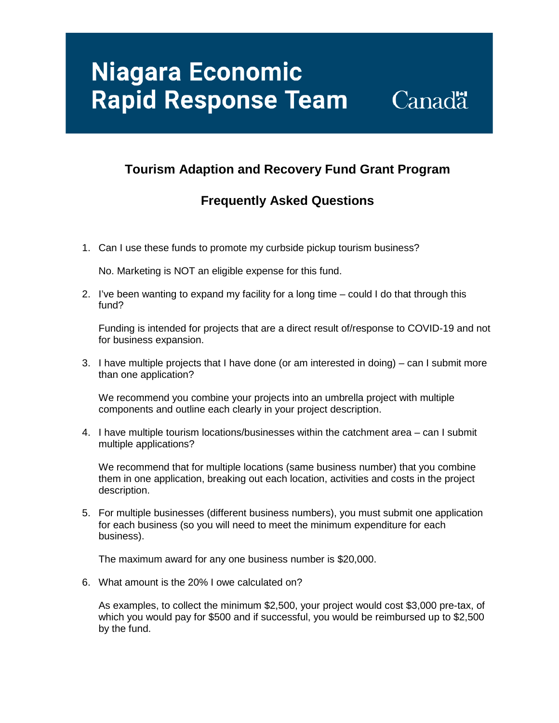# **Niagara Economic Rapid Response Team**

### **Canadä**

### **Tourism Adaption and Recovery Fund Grant Program**

#### **Frequently Asked Questions**

1. Can I use these funds to promote my curbside pickup tourism business?

No. Marketing is NOT an eligible expense for this fund.

2. I've been wanting to expand my facility for a long time – could I do that through this fund?

Funding is intended for projects that are a direct result of/response to COVID-19 and not for business expansion.

3. I have multiple projects that I have done (or am interested in doing) – can I submit more than one application?

We recommend you combine your projects into an umbrella project with multiple components and outline each clearly in your project description.

4. I have multiple tourism locations/businesses within the catchment area – can I submit multiple applications?

We recommend that for multiple locations (same business number) that you combine them in one application, breaking out each location, activities and costs in the project description.

5. For multiple businesses (different business numbers), you must submit one application for each business (so you will need to meet the minimum expenditure for each business).

The maximum award for any one business number is \$20,000.

6. What amount is the 20% I owe calculated on?

As examples, to collect the minimum \$2,500, your project would cost \$3,000 pre-tax, of which you would pay for \$500 and if successful, you would be reimbursed up to \$2,500 by the fund.